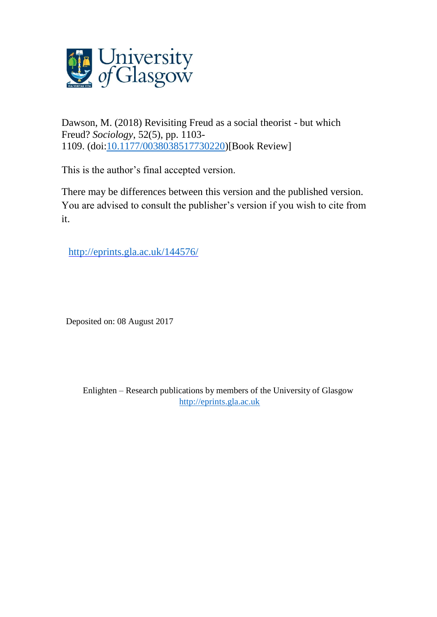

Dawson, M. (2018) Revisiting Freud as a social theorist - but which Freud? *Sociology*, 52(5), pp. 1103- 1109. (doi[:10.1177/0038038517730220\)](http://dx.doi.org/10.1177/0038038517730220)[Book Review]

This is the author's final accepted version.

There may be differences between this version and the published version. You are advised to consult the publisher's version if you wish to cite from it.

http://eprints.gla.ac.uk/144576/

Deposited on: 08 August 2017

Enlighten – Research publications by members of the University of Glasgow [http://eprints.gla.ac.uk](http://eprints.gla.ac.uk/)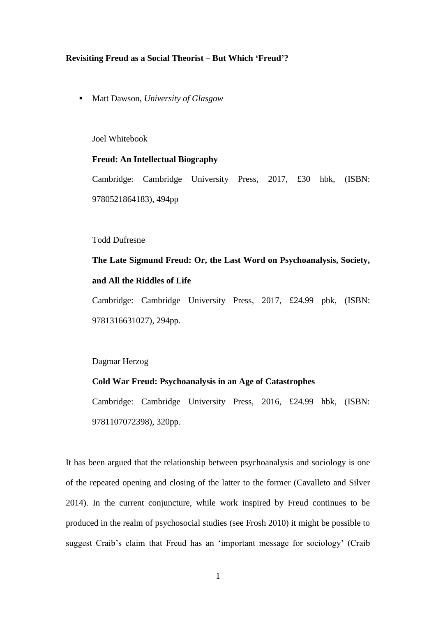### **Revisiting Freud as a Social Theorist – But Which 'Freud'?**

■ Matt Dawson, *University of Glasgow* 

Joel Whitebook

## **Freud: An Intellectual Biography**

Cambridge: Cambridge University Press, 2017, £30 hbk, (ISBN: 9780521864183), 494pp

## Todd Dufresne

**The Late Sigmund Freud: Or, the Last Word on Psychoanalysis, Society, and All the Riddles of Life**

Cambridge: Cambridge University Press, 2017, £24.99 pbk, (ISBN: 9781316631027), 294pp.

Dagmar Herzog

# **Cold War Freud: Psychoanalysis in an Age of Catastrophes**

Cambridge: Cambridge University Press, 2016, £24.99 hbk, (ISBN: 9781107072398), 320pp.

It has been argued that the relationship between psychoanalysis and sociology is one of the repeated opening and closing of the latter to the former (Cavalleto and Silver 2014). In the current conjuncture, while work inspired by Freud continues to be produced in the realm of psychosocial studies (see Frosh 2010) it might be possible to suggest Craib's claim that Freud has an 'important message for sociology' (Craib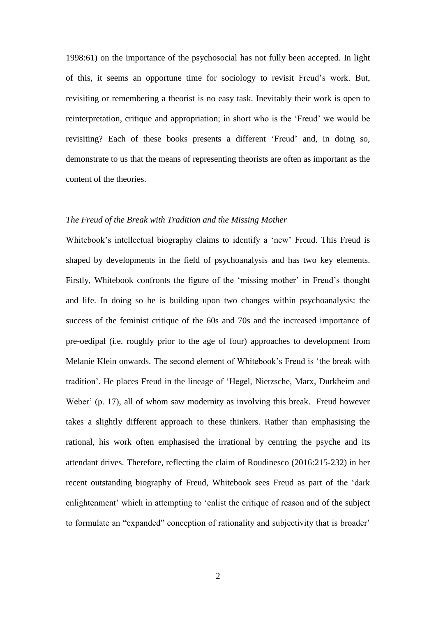1998:61) on the importance of the psychosocial has not fully been accepted. In light of this, it seems an opportune time for sociology to revisit Freud's work. But, revisiting or remembering a theorist is no easy task. Inevitably their work is open to reinterpretation, critique and appropriation; in short who is the 'Freud' we would be revisiting? Each of these books presents a different 'Freud' and, in doing so, demonstrate to us that the means of representing theorists are often as important as the content of the theories.

## *The Freud of the Break with Tradition and the Missing Mother*

Whitebook's intellectual biography claims to identify a 'new' Freud. This Freud is shaped by developments in the field of psychoanalysis and has two key elements. Firstly, Whitebook confronts the figure of the 'missing mother' in Freud's thought and life. In doing so he is building upon two changes within psychoanalysis: the success of the feminist critique of the 60s and 70s and the increased importance of pre-oedipal (i.e. roughly prior to the age of four) approaches to development from Melanie Klein onwards. The second element of Whitebook's Freud is 'the break with tradition'. He places Freud in the lineage of 'Hegel, Nietzsche, Marx, Durkheim and Weber' (p. 17), all of whom saw modernity as involving this break. Freud however takes a slightly different approach to these thinkers. Rather than emphasising the rational, his work often emphasised the irrational by centring the psyche and its attendant drives. Therefore, reflecting the claim of Roudinesco (2016:215-232) in her recent outstanding biography of Freud, Whitebook sees Freud as part of the 'dark enlightenment' which in attempting to 'enlist the critique of reason and of the subject to formulate an "expanded" conception of rationality and subjectivity that is broader'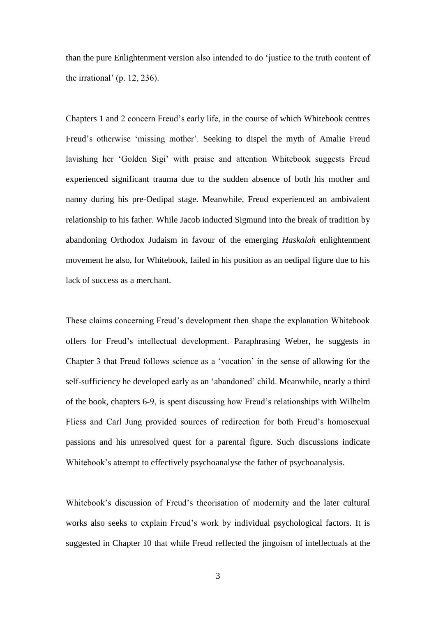than the pure Enlightenment version also intended to do 'justice to the truth content of the irrational' (p. 12, 236).

Chapters 1 and 2 concern Freud's early life, in the course of which Whitebook centres Freud's otherwise 'missing mother'. Seeking to dispel the myth of Amalie Freud lavishing her 'Golden Sigi' with praise and attention Whitebook suggests Freud experienced significant trauma due to the sudden absence of both his mother and nanny during his pre-Oedipal stage. Meanwhile, Freud experienced an ambivalent relationship to his father. While Jacob inducted Sigmund into the break of tradition by abandoning Orthodox Judaism in favour of the emerging *Haskalah* enlightenment movement he also, for Whitebook, failed in his position as an oedipal figure due to his lack of success as a merchant.

These claims concerning Freud's development then shape the explanation Whitebook offers for Freud's intellectual development. Paraphrasing Weber, he suggests in Chapter 3 that Freud follows science as a 'vocation' in the sense of allowing for the self-sufficiency he developed early as an 'abandoned' child. Meanwhile, nearly a third of the book, chapters 6-9, is spent discussing how Freud's relationships with Wilhelm Fliess and Carl Jung provided sources of redirection for both Freud's homosexual passions and his unresolved quest for a parental figure. Such discussions indicate Whitebook's attempt to effectively psychoanalyse the father of psychoanalysis.

Whitebook's discussion of Freud's theorisation of modernity and the later cultural works also seeks to explain Freud's work by individual psychological factors. It is suggested in Chapter 10 that while Freud reflected the jingoism of intellectuals at the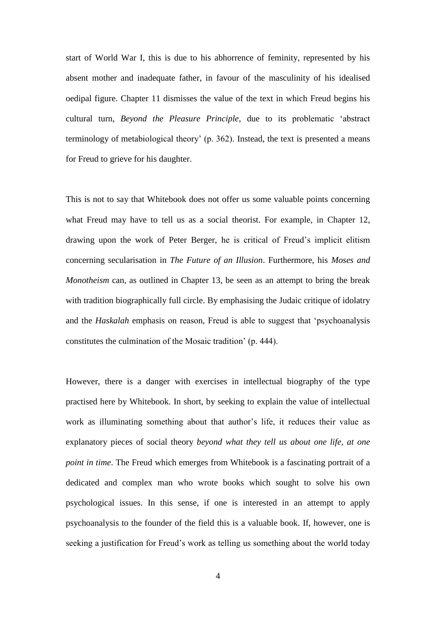start of World War I, this is due to his abhorrence of feminity, represented by his absent mother and inadequate father, in favour of the masculinity of his idealised oedipal figure. Chapter 11 dismisses the value of the text in which Freud begins his cultural turn, *Beyond the Pleasure Principle*, due to its problematic 'abstract terminology of metabiological theory' (p. 362). Instead, the text is presented a means for Freud to grieve for his daughter.

This is not to say that Whitebook does not offer us some valuable points concerning what Freud may have to tell us as a social theorist. For example, in Chapter 12, drawing upon the work of Peter Berger, he is critical of Freud's implicit elitism concerning secularisation in *The Future of an Illusion*. Furthermore, his *Moses and Monotheism* can, as outlined in Chapter 13, be seen as an attempt to bring the break with tradition biographically full circle. By emphasising the Judaic critique of idolatry and the *Haskalah* emphasis on reason, Freud is able to suggest that 'psychoanalysis constitutes the culmination of the Mosaic tradition' (p. 444).

However, there is a danger with exercises in intellectual biography of the type practised here by Whitebook. In short, by seeking to explain the value of intellectual work as illuminating something about that author's life, it reduces their value as explanatory pieces of social theory *beyond what they tell us about one life, at one point in time*. The Freud which emerges from Whitebook is a fascinating portrait of a dedicated and complex man who wrote books which sought to solve his own psychological issues. In this sense, if one is interested in an attempt to apply psychoanalysis to the founder of the field this is a valuable book. If, however, one is seeking a justification for Freud's work as telling us something about the world today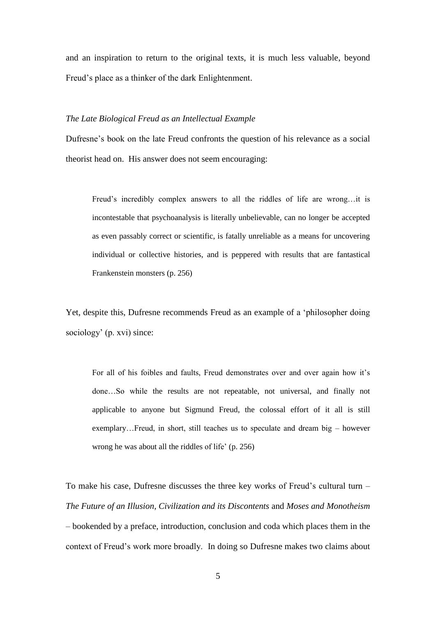and an inspiration to return to the original texts, it is much less valuable, beyond Freud's place as a thinker of the dark Enlightenment.

## *The Late Biological Freud as an Intellectual Example*

Dufresne's book on the late Freud confronts the question of his relevance as a social theorist head on. His answer does not seem encouraging:

Freud's incredibly complex answers to all the riddles of life are wrong…it is incontestable that psychoanalysis is literally unbelievable, can no longer be accepted as even passably correct or scientific, is fatally unreliable as a means for uncovering individual or collective histories, and is peppered with results that are fantastical Frankenstein monsters (p. 256)

Yet, despite this, Dufresne recommends Freud as an example of a 'philosopher doing sociology' (p. xvi) since:

For all of his foibles and faults, Freud demonstrates over and over again how it's done…So while the results are not repeatable, not universal, and finally not applicable to anyone but Sigmund Freud, the colossal effort of it all is still exemplary…Freud, in short, still teaches us to speculate and dream big – however wrong he was about all the riddles of life' (p. 256)

To make his case, Dufresne discusses the three key works of Freud's cultural turn – *The Future of an Illusion, Civilization and its Discontents* and *Moses and Monotheism* – bookended by a preface, introduction, conclusion and coda which places them in the context of Freud's work more broadly. In doing so Dufresne makes two claims about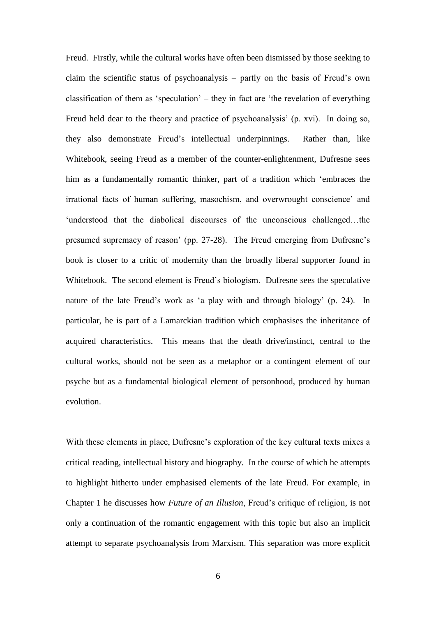Freud. Firstly, while the cultural works have often been dismissed by those seeking to claim the scientific status of psychoanalysis – partly on the basis of Freud's own classification of them as 'speculation' – they in fact are 'the revelation of everything Freud held dear to the theory and practice of psychoanalysis' (p. xvi). In doing so, they also demonstrate Freud's intellectual underpinnings. Rather than, like Whitebook, seeing Freud as a member of the counter-enlightenment, Dufresne sees him as a fundamentally romantic thinker, part of a tradition which 'embraces the irrational facts of human suffering, masochism, and overwrought conscience' and 'understood that the diabolical discourses of the unconscious challenged…the presumed supremacy of reason' (pp. 27-28). The Freud emerging from Dufresne's book is closer to a critic of modernity than the broadly liberal supporter found in Whitebook. The second element is Freud's biologism. Dufresne sees the speculative nature of the late Freud's work as 'a play with and through biology' (p. 24). In particular, he is part of a Lamarckian tradition which emphasises the inheritance of acquired characteristics. This means that the death drive/instinct, central to the cultural works, should not be seen as a metaphor or a contingent element of our psyche but as a fundamental biological element of personhood, produced by human evolution.

With these elements in place, Dufresne's exploration of the key cultural texts mixes a critical reading, intellectual history and biography. In the course of which he attempts to highlight hitherto under emphasised elements of the late Freud. For example, in Chapter 1 he discusses how *Future of an Illusion*, Freud's critique of religion, is not only a continuation of the romantic engagement with this topic but also an implicit attempt to separate psychoanalysis from Marxism. This separation was more explicit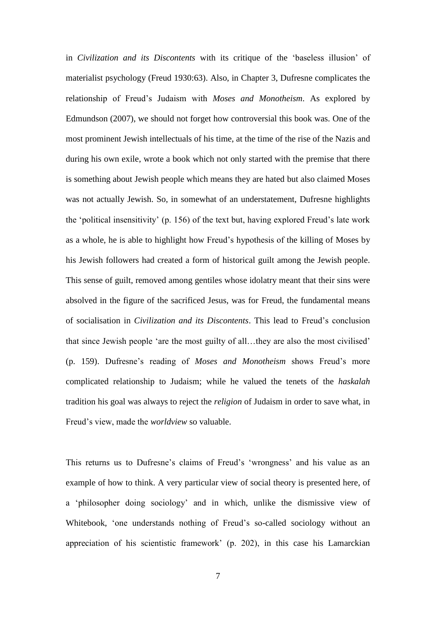in *Civilization and its Discontents* with its critique of the 'baseless illusion' of materialist psychology (Freud 1930:63). Also, in Chapter 3, Dufresne complicates the relationship of Freud's Judaism with *Moses and Monotheism*. As explored by Edmundson (2007), we should not forget how controversial this book was. One of the most prominent Jewish intellectuals of his time, at the time of the rise of the Nazis and during his own exile, wrote a book which not only started with the premise that there is something about Jewish people which means they are hated but also claimed Moses was not actually Jewish. So, in somewhat of an understatement, Dufresne highlights the 'political insensitivity' (p. 156) of the text but, having explored Freud's late work as a whole, he is able to highlight how Freud's hypothesis of the killing of Moses by his Jewish followers had created a form of historical guilt among the Jewish people. This sense of guilt, removed among gentiles whose idolatry meant that their sins were absolved in the figure of the sacrificed Jesus, was for Freud, the fundamental means of socialisation in *Civilization and its Discontents*. This lead to Freud's conclusion that since Jewish people 'are the most guilty of all…they are also the most civilised' (p. 159). Dufresne's reading of *Moses and Monotheism* shows Freud's more complicated relationship to Judaism; while he valued the tenets of the *haskalah*  tradition his goal was always to reject the *religion* of Judaism in order to save what, in Freud's view, made the *worldview* so valuable.

This returns us to Dufresne's claims of Freud's 'wrongness' and his value as an example of how to think. A very particular view of social theory is presented here, of a 'philosopher doing sociology' and in which, unlike the dismissive view of Whitebook, 'one understands nothing of Freud's so-called sociology without an appreciation of his scientistic framework' (p. 202), in this case his Lamarckian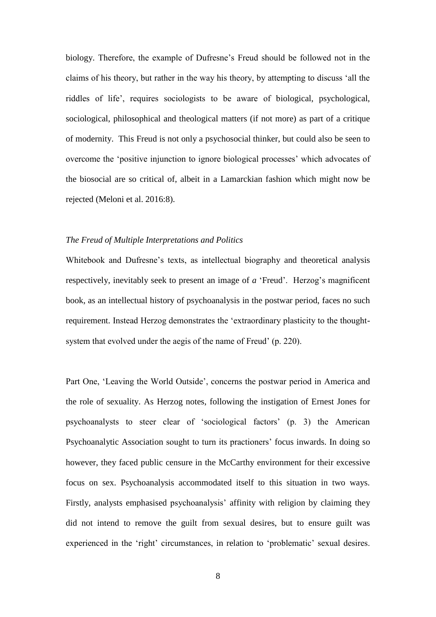biology. Therefore, the example of Dufresne's Freud should be followed not in the claims of his theory, but rather in the way his theory, by attempting to discuss 'all the riddles of life', requires sociologists to be aware of biological, psychological, sociological, philosophical and theological matters (if not more) as part of a critique of modernity. This Freud is not only a psychosocial thinker, but could also be seen to overcome the 'positive injunction to ignore biological processes' which advocates of the biosocial are so critical of, albeit in a Lamarckian fashion which might now be rejected (Meloni et al. 2016:8).

## *The Freud of Multiple Interpretations and Politics*

Whitebook and Dufresne's texts, as intellectual biography and theoretical analysis respectively, inevitably seek to present an image of *a* 'Freud'. Herzog's magnificent book, as an intellectual history of psychoanalysis in the postwar period, faces no such requirement. Instead Herzog demonstrates the 'extraordinary plasticity to the thoughtsystem that evolved under the aegis of the name of Freud' (p. 220).

Part One, 'Leaving the World Outside', concerns the postwar period in America and the role of sexuality. As Herzog notes, following the instigation of Ernest Jones for psychoanalysts to steer clear of 'sociological factors' (p. 3) the American Psychoanalytic Association sought to turn its practioners' focus inwards. In doing so however, they faced public censure in the McCarthy environment for their excessive focus on sex. Psychoanalysis accommodated itself to this situation in two ways. Firstly, analysts emphasised psychoanalysis' affinity with religion by claiming they did not intend to remove the guilt from sexual desires, but to ensure guilt was experienced in the 'right' circumstances, in relation to 'problematic' sexual desires.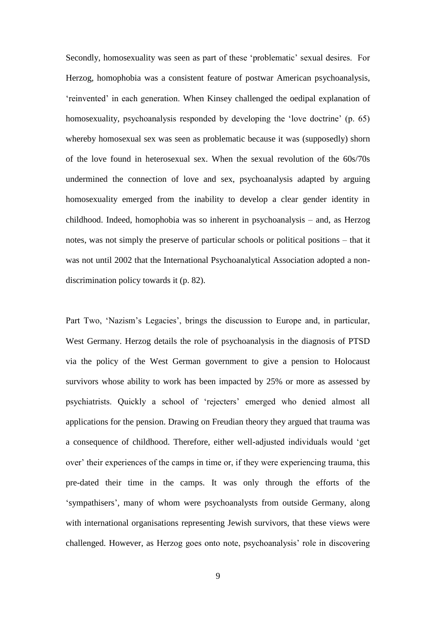Secondly, homosexuality was seen as part of these 'problematic' sexual desires. For Herzog, homophobia was a consistent feature of postwar American psychoanalysis, 'reinvented' in each generation. When Kinsey challenged the oedipal explanation of homosexuality, psychoanalysis responded by developing the 'love doctrine' (p. 65) whereby homosexual sex was seen as problematic because it was (supposedly) shorn of the love found in heterosexual sex. When the sexual revolution of the 60s/70s undermined the connection of love and sex, psychoanalysis adapted by arguing homosexuality emerged from the inability to develop a clear gender identity in childhood. Indeed, homophobia was so inherent in psychoanalysis – and, as Herzog notes, was not simply the preserve of particular schools or political positions – that it was not until 2002 that the International Psychoanalytical Association adopted a nondiscrimination policy towards it (p. 82).

Part Two, 'Nazism's Legacies', brings the discussion to Europe and, in particular, West Germany. Herzog details the role of psychoanalysis in the diagnosis of PTSD via the policy of the West German government to give a pension to Holocaust survivors whose ability to work has been impacted by 25% or more as assessed by psychiatrists. Quickly a school of 'rejecters' emerged who denied almost all applications for the pension. Drawing on Freudian theory they argued that trauma was a consequence of childhood. Therefore, either well-adjusted individuals would 'get over' their experiences of the camps in time or, if they were experiencing trauma, this pre-dated their time in the camps. It was only through the efforts of the 'sympathisers', many of whom were psychoanalysts from outside Germany, along with international organisations representing Jewish survivors, that these views were challenged. However, as Herzog goes onto note, psychoanalysis' role in discovering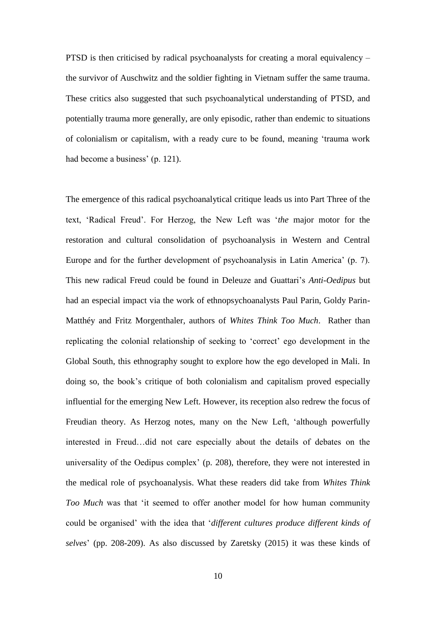PTSD is then criticised by radical psychoanalysts for creating a moral equivalency – the survivor of Auschwitz and the soldier fighting in Vietnam suffer the same trauma. These critics also suggested that such psychoanalytical understanding of PTSD, and potentially trauma more generally, are only episodic, rather than endemic to situations of colonialism or capitalism, with a ready cure to be found, meaning 'trauma work had become a business' (p. 121).

The emergence of this radical psychoanalytical critique leads us into Part Three of the text, 'Radical Freud'. For Herzog, the New Left was '*the* major motor for the restoration and cultural consolidation of psychoanalysis in Western and Central Europe and for the further development of psychoanalysis in Latin America' (p. 7). This new radical Freud could be found in Deleuze and Guattari's *Anti-Oedipus* but had an especial impact via the work of ethnopsychoanalysts Paul Parin, Goldy Parin-Matthéy and Fritz Morgenthaler, authors of *Whites Think Too Much*. Rather than replicating the colonial relationship of seeking to 'correct' ego development in the Global South, this ethnography sought to explore how the ego developed in Mali. In doing so, the book's critique of both colonialism and capitalism proved especially influential for the emerging New Left. However, its reception also redrew the focus of Freudian theory. As Herzog notes, many on the New Left, 'although powerfully interested in Freud…did not care especially about the details of debates on the universality of the Oedipus complex' (p. 208), therefore, they were not interested in the medical role of psychoanalysis. What these readers did take from *Whites Think Too Much* was that 'it seemed to offer another model for how human community could be organised' with the idea that '*different cultures produce different kinds of selves*' (pp. 208-209). As also discussed by Zaretsky (2015) it was these kinds of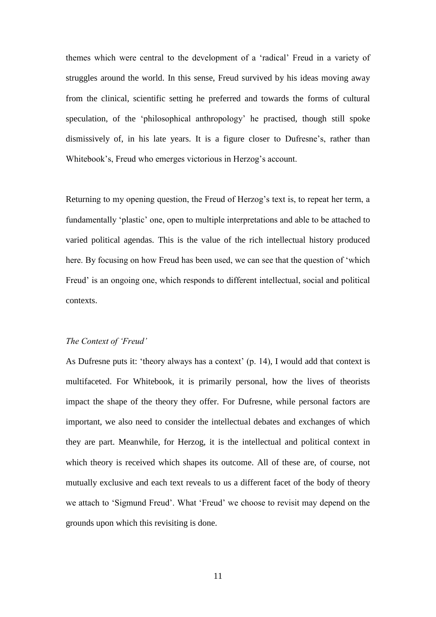themes which were central to the development of a 'radical' Freud in a variety of struggles around the world. In this sense, Freud survived by his ideas moving away from the clinical, scientific setting he preferred and towards the forms of cultural speculation, of the 'philosophical anthropology' he practised, though still spoke dismissively of, in his late years. It is a figure closer to Dufresne's, rather than Whitebook's, Freud who emerges victorious in Herzog's account.

Returning to my opening question, the Freud of Herzog's text is, to repeat her term, a fundamentally 'plastic' one, open to multiple interpretations and able to be attached to varied political agendas. This is the value of the rich intellectual history produced here. By focusing on how Freud has been used, we can see that the question of 'which Freud' is an ongoing one, which responds to different intellectual, social and political contexts.

### *The Context of 'Freud'*

As Dufresne puts it: 'theory always has a context' (p. 14), I would add that context is multifaceted. For Whitebook, it is primarily personal, how the lives of theorists impact the shape of the theory they offer. For Dufresne, while personal factors are important, we also need to consider the intellectual debates and exchanges of which they are part. Meanwhile, for Herzog, it is the intellectual and political context in which theory is received which shapes its outcome. All of these are, of course, not mutually exclusive and each text reveals to us a different facet of the body of theory we attach to 'Sigmund Freud'. What 'Freud' we choose to revisit may depend on the grounds upon which this revisiting is done.